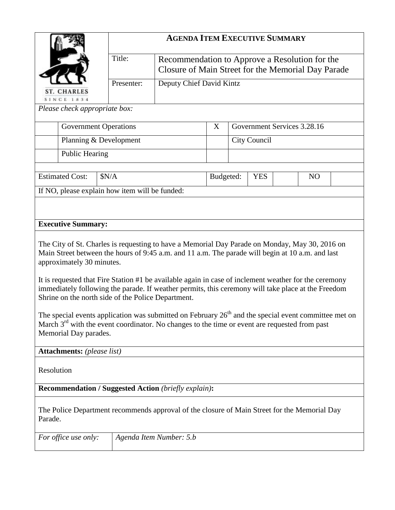|                                                                                                                                                                                                                                                                   |                         | <b>AGENDA ITEM EXECUTIVE SUMMARY</b>                                                                 |              |                             |            |                |  |  |
|-------------------------------------------------------------------------------------------------------------------------------------------------------------------------------------------------------------------------------------------------------------------|-------------------------|------------------------------------------------------------------------------------------------------|--------------|-----------------------------|------------|----------------|--|--|
|                                                                                                                                                                                                                                                                   | Title:                  | Recommendation to Approve a Resolution for the<br>Closure of Main Street for the Memorial Day Parade |              |                             |            |                |  |  |
| <b>ST. CHARLES</b>                                                                                                                                                                                                                                                |                         | Deputy Chief David Kintz                                                                             |              |                             |            |                |  |  |
| <b>SINCE 1834</b><br>Please check appropriate box:                                                                                                                                                                                                                |                         |                                                                                                      |              |                             |            |                |  |  |
| <b>Government Operations</b>                                                                                                                                                                                                                                      |                         |                                                                                                      |              | Government Services 3.28.16 |            |                |  |  |
| Planning & Development                                                                                                                                                                                                                                            |                         | X                                                                                                    | City Council |                             |            |                |  |  |
| <b>Public Hearing</b>                                                                                                                                                                                                                                             |                         |                                                                                                      |              |                             |            |                |  |  |
|                                                                                                                                                                                                                                                                   |                         |                                                                                                      |              |                             |            |                |  |  |
| <b>Estimated Cost:</b><br>\$N/A                                                                                                                                                                                                                                   |                         |                                                                                                      | Budgeted:    |                             | <b>YES</b> | N <sub>O</sub> |  |  |
| If NO, please explain how item will be funded:                                                                                                                                                                                                                    |                         |                                                                                                      |              |                             |            |                |  |  |
|                                                                                                                                                                                                                                                                   |                         |                                                                                                      |              |                             |            |                |  |  |
| <b>Executive Summary:</b>                                                                                                                                                                                                                                         |                         |                                                                                                      |              |                             |            |                |  |  |
| The City of St. Charles is requesting to have a Memorial Day Parade on Monday, May 30, 2016 on<br>Main Street between the hours of 9:45 a.m. and 11 a.m. The parade will begin at 10 a.m. and last<br>approximately 30 minutes.                                   |                         |                                                                                                      |              |                             |            |                |  |  |
| It is requested that Fire Station #1 be available again in case of inclement weather for the ceremony<br>immediately following the parade. If weather permits, this ceremony will take place at the Freedom<br>Shrine on the north side of the Police Department. |                         |                                                                                                      |              |                             |            |                |  |  |
| The special events application was submitted on February $26th$ and the special event committee met on<br>March $3rd$ with the event coordinator. No changes to the time or event are requested from past<br>Memorial Day parades.                                |                         |                                                                                                      |              |                             |            |                |  |  |
| <b>Attachments:</b> (please list)                                                                                                                                                                                                                                 |                         |                                                                                                      |              |                             |            |                |  |  |
| Resolution                                                                                                                                                                                                                                                        |                         |                                                                                                      |              |                             |            |                |  |  |
| <b>Recommendation / Suggested Action (briefly explain):</b>                                                                                                                                                                                                       |                         |                                                                                                      |              |                             |            |                |  |  |
| The Police Department recommends approval of the closure of Main Street for the Memorial Day<br>Parade.                                                                                                                                                           |                         |                                                                                                      |              |                             |            |                |  |  |
| For office use only:                                                                                                                                                                                                                                              | Agenda Item Number: 5.b |                                                                                                      |              |                             |            |                |  |  |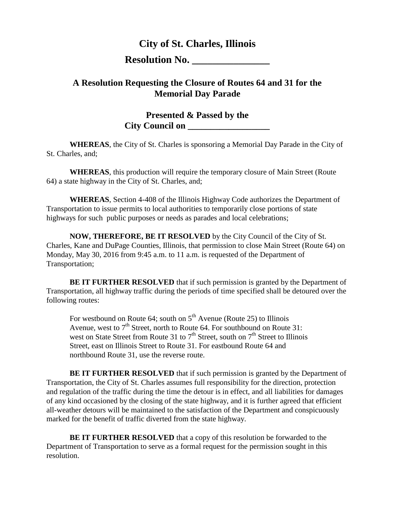## **City of St. Charles, Illinois**

## **Resolution No.**

## **A Resolution Requesting the Closure of Routes 64 and 31 for the Memorial Day Parade**

## **Presented & Passed by the City Council on \_\_\_\_\_\_\_\_\_\_\_\_\_\_\_\_\_\_**

**WHEREAS**, the City of St. Charles is sponsoring a Memorial Day Parade in the City of St. Charles, and;

**WHEREAS**, this production will require the temporary closure of Main Street (Route 64) a state highway in the City of St. Charles, and;

**WHEREAS**, Section 4-408 of the Illinois Highway Code authorizes the Department of Transportation to issue permits to local authorities to temporarily close portions of state highways for such public purposes or needs as parades and local celebrations;

**NOW, THEREFORE, BE IT RESOLVED** by the City Council of the City of St. Charles, Kane and DuPage Counties, Illinois, that permission to close Main Street (Route 64) on Monday, May 30, 2016 from 9:45 a.m. to 11 a.m. is requested of the Department of Transportation;

**BE IT FURTHER RESOLVED** that if such permission is granted by the Department of Transportation, all highway traffic during the periods of time specified shall be detoured over the following routes:

For westbound on Route 64; south on  $5<sup>th</sup>$  Avenue (Route 25) to Illinois Avenue, west to  $7<sup>th</sup>$  Street, north to Route 64. For southbound on Route 31: west on State Street from Route 31 to  $7<sup>th</sup>$  Street, south on  $7<sup>th</sup>$  Street to Illinois Street, east on Illinois Street to Route 31. For eastbound Route 64 and northbound Route 31, use the reverse route.

**BE IT FURTHER RESOLVED** that if such permission is granted by the Department of Transportation, the City of St. Charles assumes full responsibility for the direction, protection and regulation of the traffic during the time the detour is in effect, and all liabilities for damages of any kind occasioned by the closing of the state highway, and it is further agreed that efficient all-weather detours will be maintained to the satisfaction of the Department and conspicuously marked for the benefit of traffic diverted from the state highway.

**BE IT FURTHER RESOLVED** that a copy of this resolution be forwarded to the Department of Transportation to serve as a formal request for the permission sought in this resolution.